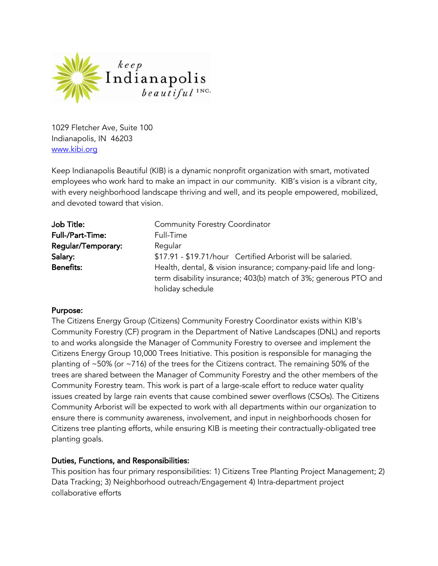

1029 Fletcher Ave, Suite 100 Indianapolis, IN 46203 www.kibi.org

Keep Indianapolis Beautiful (KIB) is a dynamic nonprofit organization with smart, motivated employees who work hard to make an impact in our community. KIB's vision is a vibrant city, with every neighborhood landscape thriving and well, and its people empowered, mobilized, and devoted toward that vision.

| Job Title:              | <b>Community Forestry Coordinator</b>                           |
|-------------------------|-----------------------------------------------------------------|
| <b>Full-/Part-Time:</b> | Full-Time                                                       |
| Regular/Temporary:      | Regular                                                         |
| Salary:                 | \$17.91 - \$19.71/hour Certified Arborist will be salaried.     |
| <b>Benefits:</b>        | Health, dental, & vision insurance; company-paid life and long- |
|                         | term disability insurance; 403(b) match of 3%; generous PTO and |
|                         | holiday schedule                                                |

#### Purpose:

The Citizens Energy Group (Citizens) Community Forestry Coordinator exists within KIB's Community Forestry (CF) program in the Department of Native Landscapes (DNL) and reports to and works alongside the Manager of Community Forestry to oversee and implement the Citizens Energy Group 10,000 Trees Initiative. This position is responsible for managing the planting of ~50% (or ~716) of the trees for the Citizens contract. The remaining 50% of the trees are shared between the Manager of Community Forestry and the other members of the Community Forestry team. This work is part of a large-scale effort to reduce water quality issues created by large rain events that cause combined sewer overflows (CSOs). The Citizens Community Arborist will be expected to work with all departments within our organization to ensure there is community awareness, involvement, and input in neighborhoods chosen for Citizens tree planting efforts, while ensuring KIB is meeting their contractually-obligated tree planting goals.

#### Duties, Functions, and Responsibilities:

This position has four primary responsibilities: 1) Citizens Tree Planting Project Management; 2) Data Tracking; 3) Neighborhood outreach/Engagement 4) Intra-department project collaborative efforts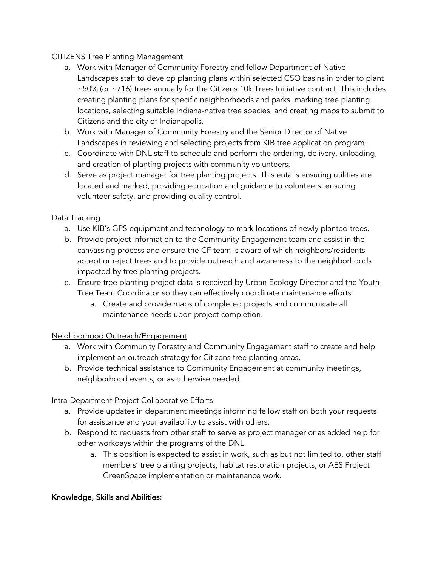#### CITIZENS Tree Planting Management

- a. Work with Manager of Community Forestry and fellow Department of Native Landscapes staff to develop planting plans within selected CSO basins in order to plant ~50% (or ~716) trees annually for the Citizens 10k Trees Initiative contract. This includes creating planting plans for specific neighborhoods and parks, marking tree planting locations, selecting suitable Indiana-native tree species, and creating maps to submit to Citizens and the city of Indianapolis.
- b. Work with Manager of Community Forestry and the Senior Director of Native Landscapes in reviewing and selecting projects from KIB tree application program.
- c. Coordinate with DNL staff to schedule and perform the ordering, delivery, unloading, and creation of planting projects with community volunteers.
- d. Serve as project manager for tree planting projects. This entails ensuring utilities are located and marked, providing education and guidance to volunteers, ensuring volunteer safety, and providing quality control.

#### Data Tracking

- a. Use KIB's GPS equipment and technology to mark locations of newly planted trees.
- b. Provide project information to the Community Engagement team and assist in the canvassing process and ensure the CF team is aware of which neighbors/residents accept or reject trees and to provide outreach and awareness to the neighborhoods impacted by tree planting projects.
- c. Ensure tree planting project data is received by Urban Ecology Director and the Youth Tree Team Coordinator so they can effectively coordinate maintenance efforts.
	- a. Create and provide maps of completed projects and communicate all maintenance needs upon project completion.

# Neighborhood Outreach/Engagement

- a. Work with Community Forestry and Community Engagement staff to create and help implement an outreach strategy for Citizens tree planting areas.
- b. Provide technical assistance to Community Engagement at community meetings, neighborhood events, or as otherwise needed.

# Intra-Department Project Collaborative Efforts

- a. Provide updates in department meetings informing fellow staff on both your requests for assistance and your availability to assist with others.
- b. Respond to requests from other staff to serve as project manager or as added help for other workdays within the programs of the DNL.
	- a. This position is expected to assist in work, such as but not limited to, other staff members' tree planting projects, habitat restoration projects, or AES Project GreenSpace implementation or maintenance work.

# Knowledge, Skills and Abilities: